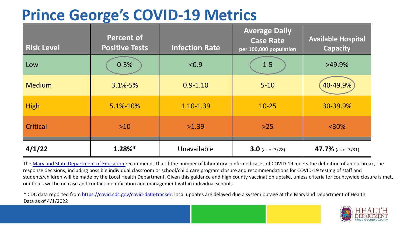## **Prince George's COVID-19 Metrics**

| <b>Risk Level</b> | <b>Percent of</b><br><b>Positive Tests</b> | <b>Infection Rate</b> | <b>Average Daily</b><br><b>Case Rate</b><br>per 100,000 population | <b>Available Hospital</b><br><b>Capacity</b> |
|-------------------|--------------------------------------------|-----------------------|--------------------------------------------------------------------|----------------------------------------------|
| Low               | $0 - 3%$                                   | < 0.9                 | $1-5$                                                              | >49.9%                                       |
| <b>Medium</b>     | $3.1\% - 5\%$                              | $0.9 - 1.10$          | $5 - 10$                                                           | 40-49.9%                                     |
| <b>High</b>       | 5.1%-10%                                   | 1.10-1.39             | $10 - 25$                                                          | 30-39.9%                                     |
| Critical          | $>10$                                      | >1.39                 | $>25$                                                              | $<$ 30%                                      |
| 4/1/22            | $1.28%$ *                                  | Unavailable           | $3.0$ (as of 3/28)                                                 | 47.7% (as of 3/31)                           |

The [Maryland State Department of Education](https://earlychildhood.marylandpublicschools.org/system/files/filedepot/3/covid_guidance_full_080420.pdf) recommends that if the number of laboratory confirmed cases of COVID-19 meets the definition of an outbreak, the response decisions, including possible individual classroom or school/child care program closure and recommendations for COVID-19 testing of staff and students/children will be made by the Local Health Department. Given this guidance and high county vaccination uptake, unless criteria for countywide closure is met, our focus will be on case and contact identification and management within individual schools.

\* CDC data reported from [https://covid.cdc.gov/covid-data-tracker;](https://covid.cdc.gov/covid-data-tracker) local updates are delayed due a system outage at the Maryland Department of Health. Data as of 4/1/2022

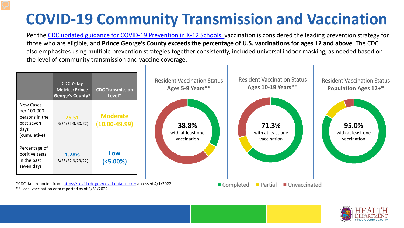## **COVID-19 Community Transmission and Vaccination**

Per the [CDC updated guidance for COVID-19 Prevention in K-12 Schools,](https://www.cdc.gov/coronavirus/2019-ncov/community/schools-childcare/k-12-guidance.html) vaccination is considered the leading prevention strategy for those who are eligible, and **Prince George's County exceeds the percentage of U.S. vaccinations for ages 12 and above**. The CDC also emphasizes using multiple prevention strategies together consistently, included universal indoor masking, as needed based on the level of community transmission and vaccine coverage.



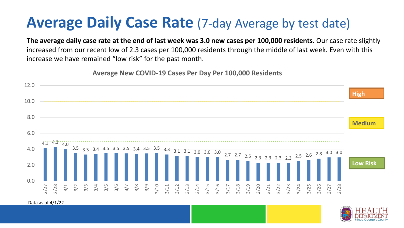## **Average Daily Case Rate** (7-day Average by test date)

**The average daily case rate at the end of last week was 3.0 new cases per 100,000 residents.** Our case rate slightly increased from our recent low of 2.3 cases per 100,000 residents through the middle of last week. Even with this increase we have remained "low risk" for the past month.

**Average New COVID-19 Cases Per Day Per 100,000 Residents**